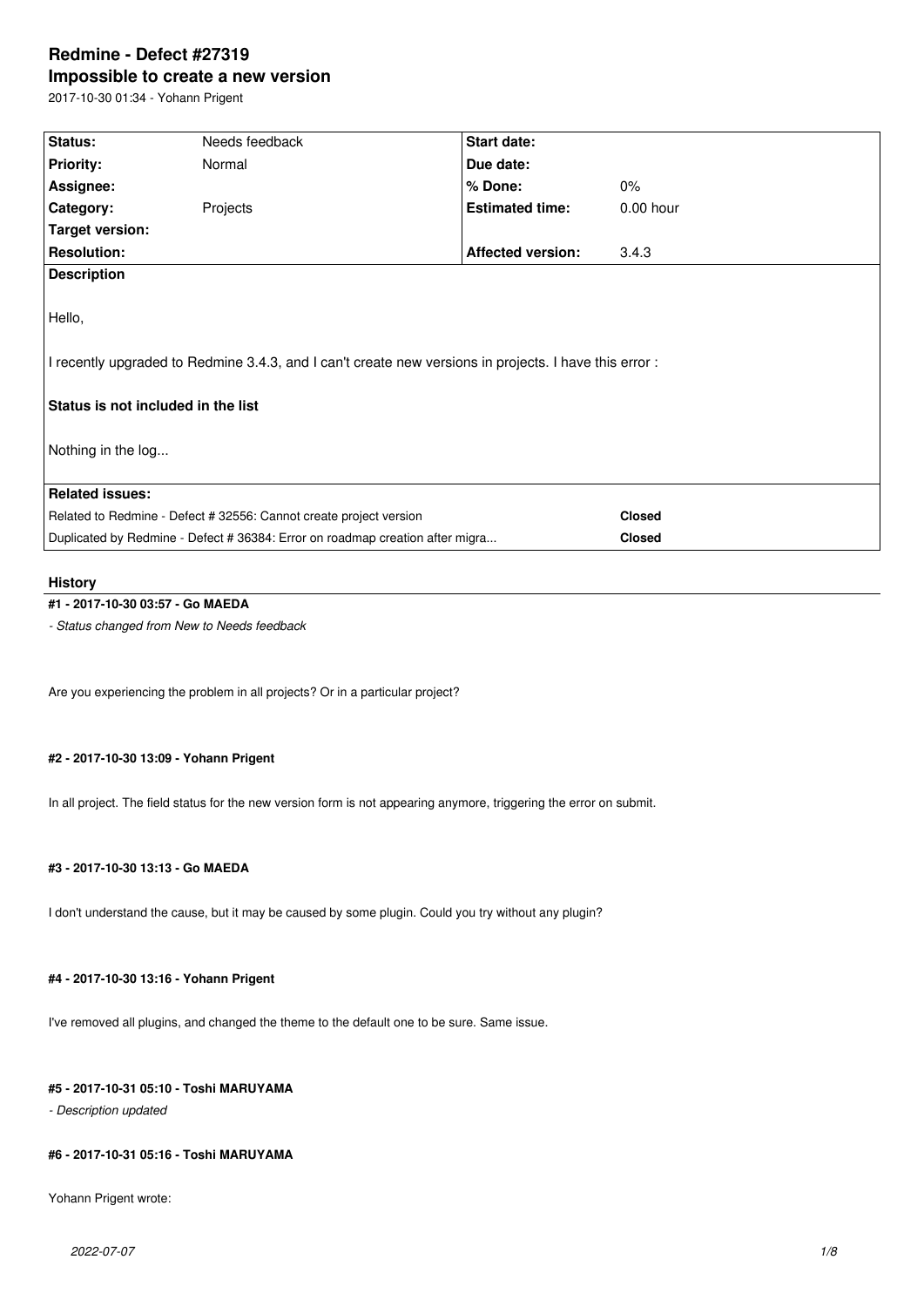# **Redmine - Defect #27319 Impossible to create a new version**

2017-10-30 01:34 - Yohann Prigent

| Status:                            | Needs feedback                                                                                        | Start date:              |               |
|------------------------------------|-------------------------------------------------------------------------------------------------------|--------------------------|---------------|
| <b>Priority:</b>                   | Normal                                                                                                | Due date:                |               |
| Assignee:                          |                                                                                                       | % Done:                  | $0\%$         |
| Category:                          | Projects                                                                                              | <b>Estimated time:</b>   | $0.00$ hour   |
| Target version:                    |                                                                                                       |                          |               |
| <b>Resolution:</b>                 |                                                                                                       | <b>Affected version:</b> | 3.4.3         |
| <b>Description</b>                 |                                                                                                       |                          |               |
|                                    |                                                                                                       |                          |               |
| Hello,                             |                                                                                                       |                          |               |
|                                    |                                                                                                       |                          |               |
|                                    | I recently upgraded to Redmine 3.4.3, and I can't create new versions in projects. I have this error: |                          |               |
|                                    |                                                                                                       |                          |               |
| Status is not included in the list |                                                                                                       |                          |               |
|                                    |                                                                                                       |                          |               |
| Nothing in the log                 |                                                                                                       |                          |               |
|                                    |                                                                                                       |                          |               |
| <b>Related issues:</b>             |                                                                                                       |                          |               |
|                                    | Related to Redmine - Defect # 32556: Cannot create project version                                    |                          | <b>Closed</b> |
|                                    | Duplicated by Redmine - Defect # 36384: Error on roadmap creation after migra<br><b>Closed</b>        |                          |               |
|                                    |                                                                                                       |                          |               |

#### **History**

# **#1 - 2017-10-30 03:57 - Go MAEDA**

*- Status changed from New to Needs feedback*

Are you experiencing the problem in all projects? Or in a particular project?

# **#2 - 2017-10-30 13:09 - Yohann Prigent**

In all project. The field status for the new version form is not appearing anymore, triggering the error on submit.

# **#3 - 2017-10-30 13:13 - Go MAEDA**

I don't understand the cause, but it may be caused by some plugin. Could you try without any plugin?

# **#4 - 2017-10-30 13:16 - Yohann Prigent**

I've removed all plugins, and changed the theme to the default one to be sure. Same issue.

#### **#5 - 2017-10-31 05:10 - Toshi MARUYAMA**

*- Description updated*

#### **#6 - 2017-10-31 05:16 - Toshi MARUYAMA**

Yohann Prigent wrote: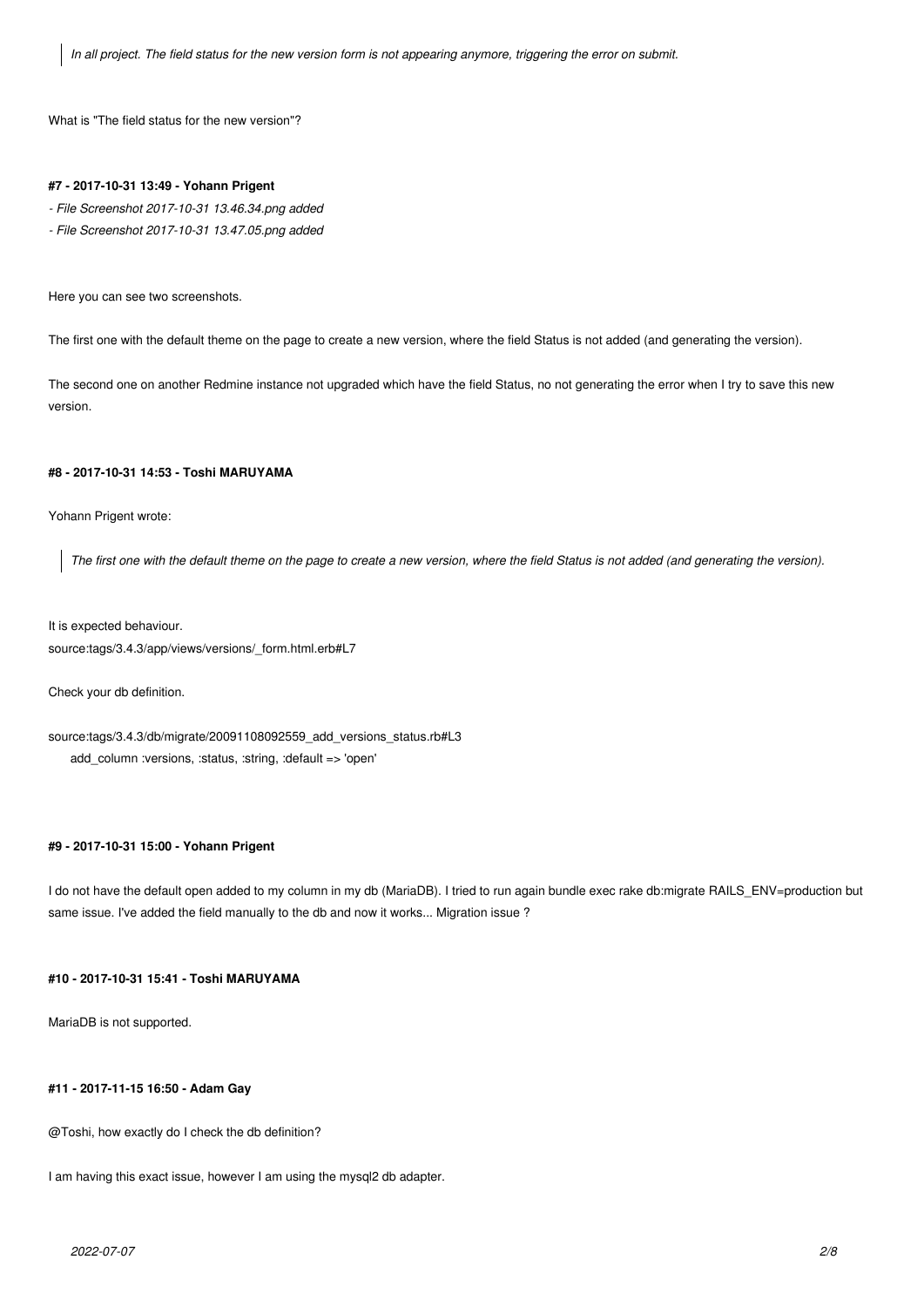*In all project. The field status for the new version form is not appearing anymore, triggering the error on submit.*

What is "The field status for the new version"?

#### **#7 - 2017-10-31 13:49 - Yohann Prigent**

- *File Screenshot 2017-10-31 13.46.34.png added*
- *File Screenshot 2017-10-31 13.47.05.png added*

Here you can see two screenshots.

The first one with the default theme on the page to create a new version, where the field Status is not added (and generating the version).

The second one on another Redmine instance not upgraded which have the field Status, no not generating the error when I try to save this new version.

### **#8 - 2017-10-31 14:53 - Toshi MARUYAMA**

Yohann Prigent wrote:

*The first one with the default theme on the page to create a new version, where the field Status is not added (and generating the version).*

It is expected behaviour. source:tags/3.4.3/app/views/versions/\_form.html.erb#L7

Check your db definition.

source:tags/3.4.3/db/migrate/20091108092559\_add\_versions\_status.rb#L3 add\_column :versions, :status, :string, :default => 'open'

### **#9 - 2017-10-31 15:00 - Yohann Prigent**

I do not have the default open added to my column in my db (MariaDB). I tried to run again bundle exec rake db:migrate RAILS\_ENV=production but same issue. I've added the field manually to the db and now it works... Migration issue ?

# **#10 - 2017-10-31 15:41 - Toshi MARUYAMA**

MariaDB is not supported.

#### **#11 - 2017-11-15 16:50 - Adam Gay**

@Toshi, how exactly do I check the db definition?

I am having this exact issue, however I am using the mysql2 db adapter.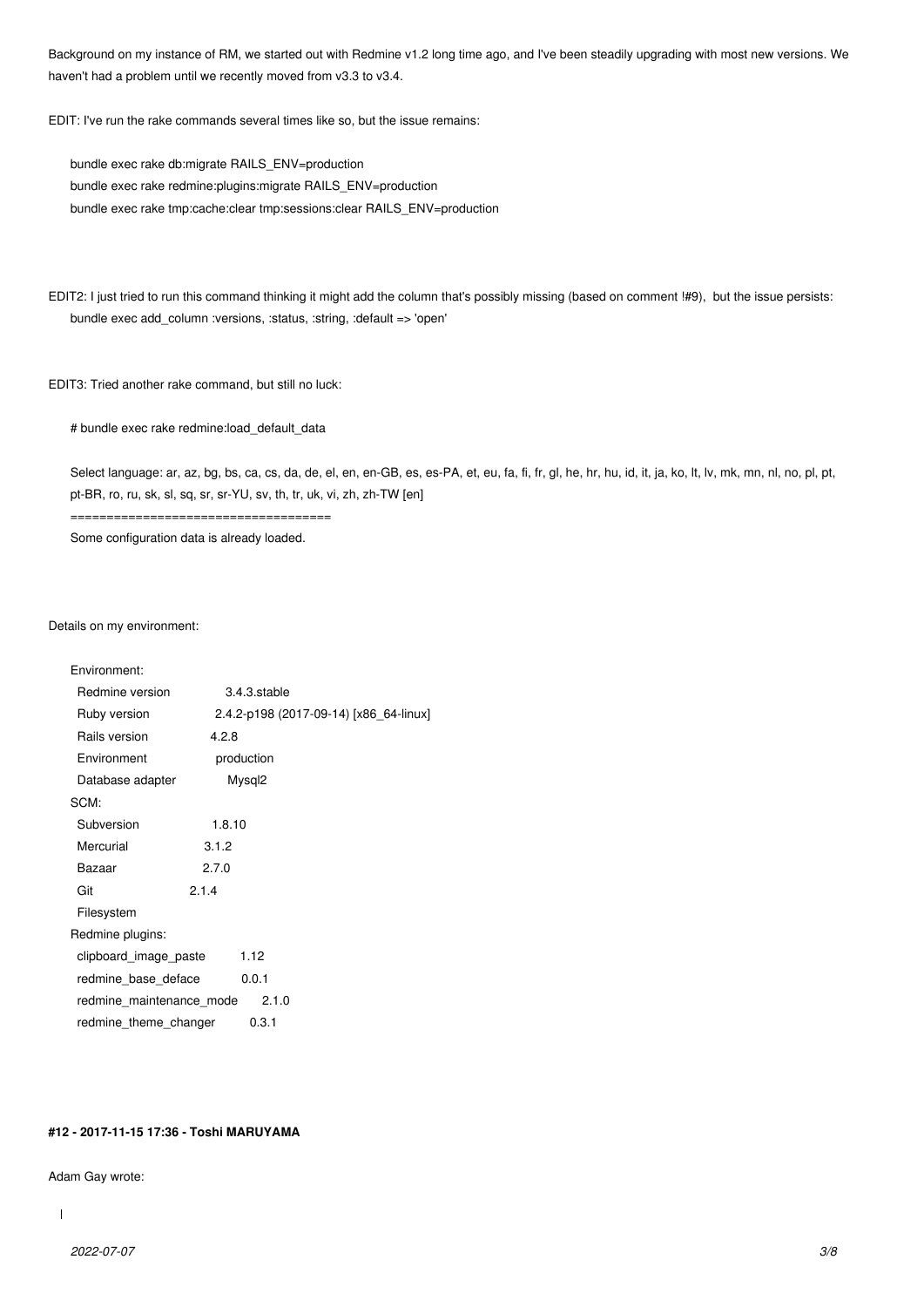Background on my instance of RM, we started out with Redmine v1.2 long time ago, and I've been steadily upgrading with most new versions. We haven't had a problem until we recently moved from v3.3 to v3.4.

EDIT: I've run the rake commands several times like so, but the issue remains:

bundle exec rake db:migrate RAILS\_ENV=production bundle exec rake redmine:plugins:migrate RAILS\_ENV=production bundle exec rake tmp:cache:clear tmp:sessions:clear RAILS\_ENV=production

EDIT2: I just tried to run this command thinking it might add the column that's possibly missing (based on comment !#9), but the issue persists: bundle exec add\_column :versions, :status, :string, :default => 'open'

EDIT3: Tried another rake command, but still no luck:

# bundle exec rake redmine:load\_default\_data

Select language: ar, az, bg, bs, ca, cs, da, de, el, en, en-GB, es, es-PA, et, eu, fa, fi, fr, gl, he, hr, hu, id, it, ja, ko, lt, lv, mk, mn, nl, no, pl, pt, pt-BR, ro, ru, sk, sl, sq, sr, sr-YU, sv, th, tr, uk, vi, zh, zh-TW [en]

Some configuration data is already loaded.

====================================

#### Details on my environment:

| Environment:             |                                        |
|--------------------------|----------------------------------------|
| Redmine version          | 3.4.3.stable                           |
| Ruby version             | 2.4.2-p198 (2017-09-14) [x86 64-linux] |
| Rails version            | 4.2.8                                  |
| Environment              | production                             |
| Database adapter         | Mysql <sub>2</sub>                     |
| SCM:                     |                                        |
| Subversion               | 1.8.10                                 |
| Mercurial                | 3.1.2                                  |
| Bazaar                   | 2.7.0                                  |
| Git                      | 2.1.4                                  |
| Filesystem               |                                        |
| Redmine plugins:         |                                        |
| clipboard_image_paste    | 1.12                                   |
| redmine base deface      | 0.0.1                                  |
| redmine maintenance mode | 2.1.0                                  |
| redmine theme changer    | 0.3.1                                  |

# **#12 - 2017-11-15 17:36 - Toshi MARUYAMA**

#### Adam Gay wrote:

 $\overline{\phantom{a}}$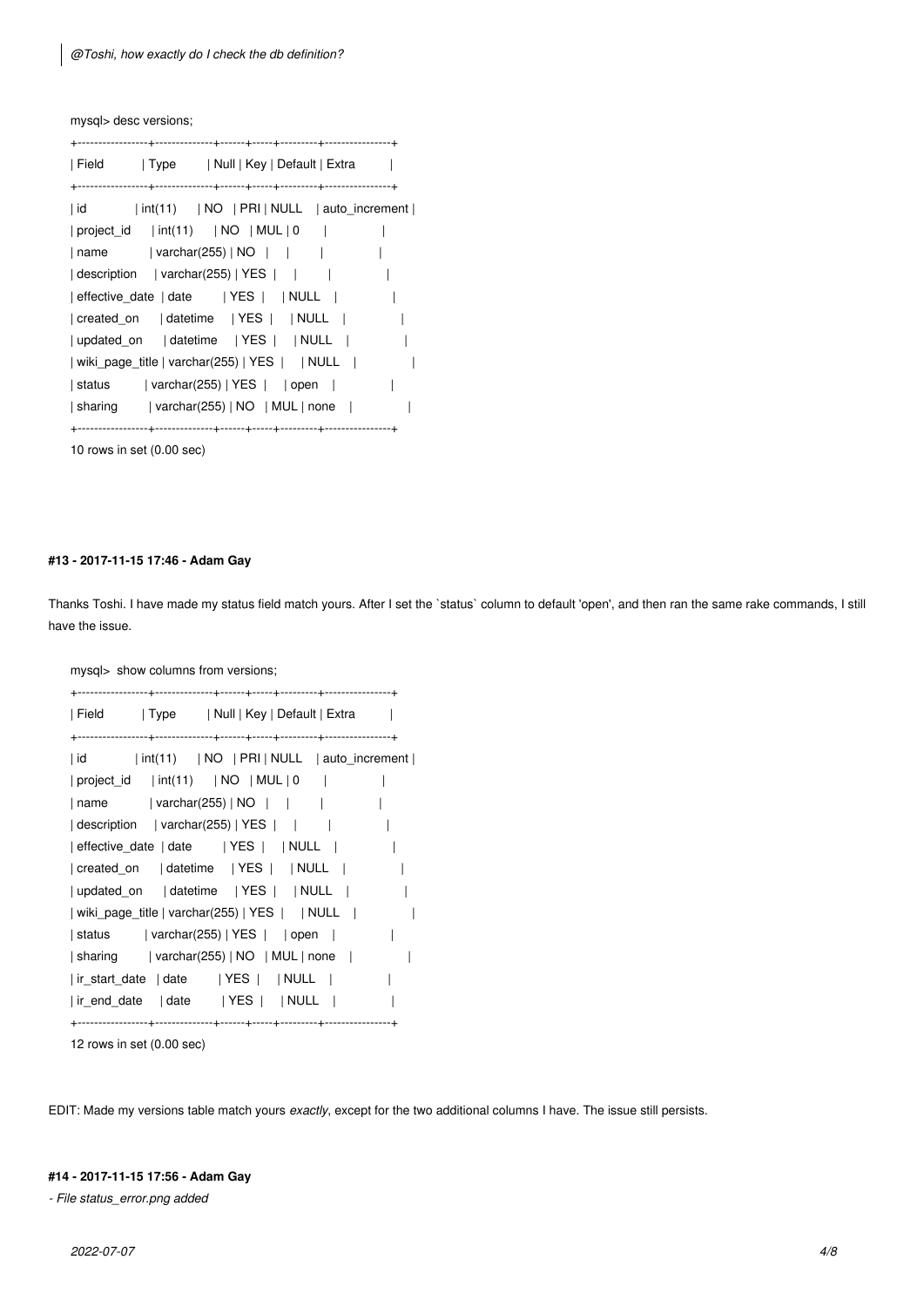mysql> desc versions;

| Field      Type                                                    | Null   Key   Default   Extra                                          |  |
|--------------------------------------------------------------------|-----------------------------------------------------------------------|--|
|                                                                    |                                                                       |  |
| id                                                                 | $\int$ int(11) $\int$ NO $\int$ PRI $\int$ NULL $\int$ auto increment |  |
|                                                                    |                                                                       |  |
| name                                                               | varchar(255)   NO                                                     |  |
| description   varchar(255)   YES                                   |                                                                       |  |
|                                                                    |                                                                       |  |
|                                                                    |                                                                       |  |
| updated on   datetime   YES     NULL                               |                                                                       |  |
| wiki_page_title   varchar(255)   YES     NULL                      |                                                                       |  |
| status   varchar(255)   YES     open                               |                                                                       |  |
| $\vert$ sharing $\vert$ varchar(255)   NO $\vert$ MUL $\vert$ none |                                                                       |  |
|                                                                    |                                                                       |  |

10 rows in set (0.00 sec)

# **#13 - 2017-11-15 17:46 - Adam Gay**

Thanks Toshi. I have made my status field match yours. After I set the `status` column to default 'open', and then ran the same rake commands, I still have the issue.

mysql> show columns from versions;

| Field   Type   Null   Key   Default   Extra                                |  |
|----------------------------------------------------------------------------|--|
|                                                                            |  |
| id   int(11)   NO   PRI   NULL   auto_increment                            |  |
| project_id   int(11)   NO   MUL   0                                        |  |
| $\lceil$ name $\lceil$ varchar(255) $\lceil$ NO $\lceil$ $\lceil$ $\lceil$ |  |
| $\vert$ description $\vert$ varchar(255)   YES   $\vert$                   |  |
| effective_date   date   YES     NULL                                       |  |
|                                                                            |  |
|                                                                            |  |
| wiki_page_title   varchar(255)   YES     NULL                              |  |
| $ $ status $ $ varchar(255)   YES   $ $ open                               |  |
| $\vert$ sharing $\vert$ varchar(255)   NO $\vert$ MUL $\vert$ none $\vert$ |  |
| ir_start_date   date   YES     NULL                                        |  |
| ir_end_date   date   YES     NULL                                          |  |
|                                                                            |  |

12 rows in set (0.00 sec)

EDIT: Made my versions table match yours *exactly*, except for the two additional columns I have. The issue still persists.

# **#14 - 2017-11-15 17:56 - Adam Gay**

*- File status\_error.png added*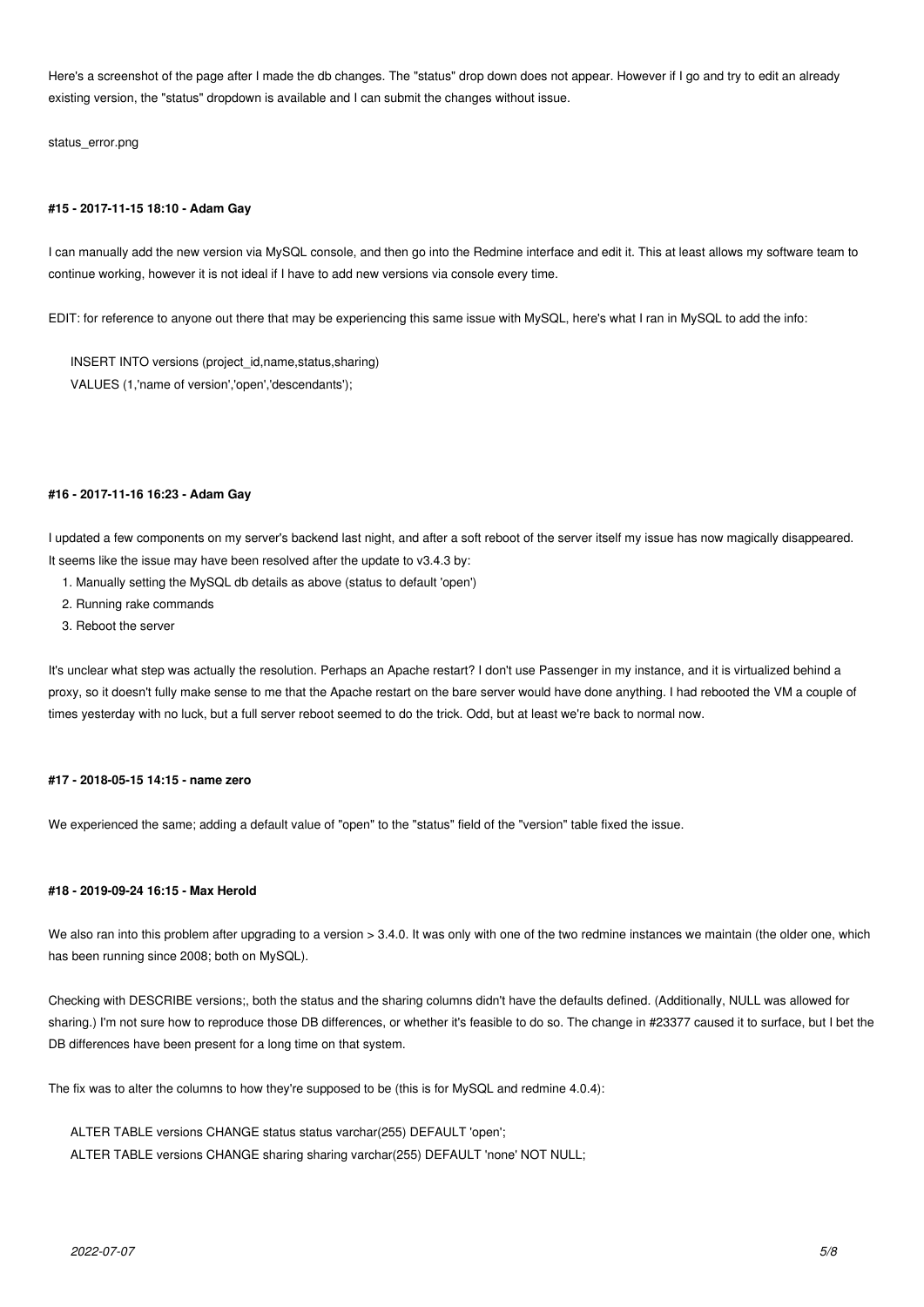Here's a screenshot of the page after I made the db changes. The "status" drop down does not appear. However if I go and try to edit an already existing version, the "status" dropdown is available and I can submit the changes without issue.

status\_error.png

#### **#15 - 2017-11-15 18:10 - Adam Gay**

I can manually add the new version via MySQL console, and then go into the Redmine interface and edit it. This at least allows my software team to continue working, however it is not ideal if I have to add new versions via console every time.

EDIT: for reference to anyone out there that may be experiencing this same issue with MySQL, here's what I ran in MySQL to add the info:

INSERT INTO versions (project\_id,name,status,sharing) VALUES (1,'name of version','open','descendants');

#### **#16 - 2017-11-16 16:23 - Adam Gay**

I updated a few components on my server's backend last night, and after a soft reboot of the server itself my issue has now magically disappeared. It seems like the issue may have been resolved after the update to v3.4.3 by:

- 1. Manually setting the MySQL db details as above (status to default 'open')
- 2. Running rake commands
- 3. Reboot the server

It's unclear what step was actually the resolution. Perhaps an Apache restart? I don't use Passenger in my instance, and it is virtualized behind a proxy, so it doesn't fully make sense to me that the Apache restart on the bare server would have done anything. I had rebooted the VM a couple of times yesterday with no luck, but a full server reboot seemed to do the trick. Odd, but at least we're back to normal now.

#### **#17 - 2018-05-15 14:15 - name zero**

We experienced the same; adding a default value of "open" to the "status" field of the "version" table fixed the issue.

# **#18 - 2019-09-24 16:15 - Max Herold**

We also ran into this problem after upgrading to a version > 3.4.0. It was only with one of the two redmine instances we maintain (the older one, which has been running since 2008; both on MySQL).

Checking with DESCRIBE versions;, both the status and the sharing columns didn't have the defaults defined. (Additionally, NULL was allowed for sharing.) I'm not sure how to reproduce those DB differences, or whether it's feasible to do so. The change in #23377 caused it to surface, but I bet the DB differences have been present for a long time on that system.

The fix was to alter the columns to how they're supposed to be (this is for MySQL and redmine 4.0.4):

ALTER TABLE versions CHANGE status status varchar(255) DEFAULT 'open'; ALTER TABLE versions CHANGE sharing sharing varchar(255) DEFAULT 'none' NOT NULL;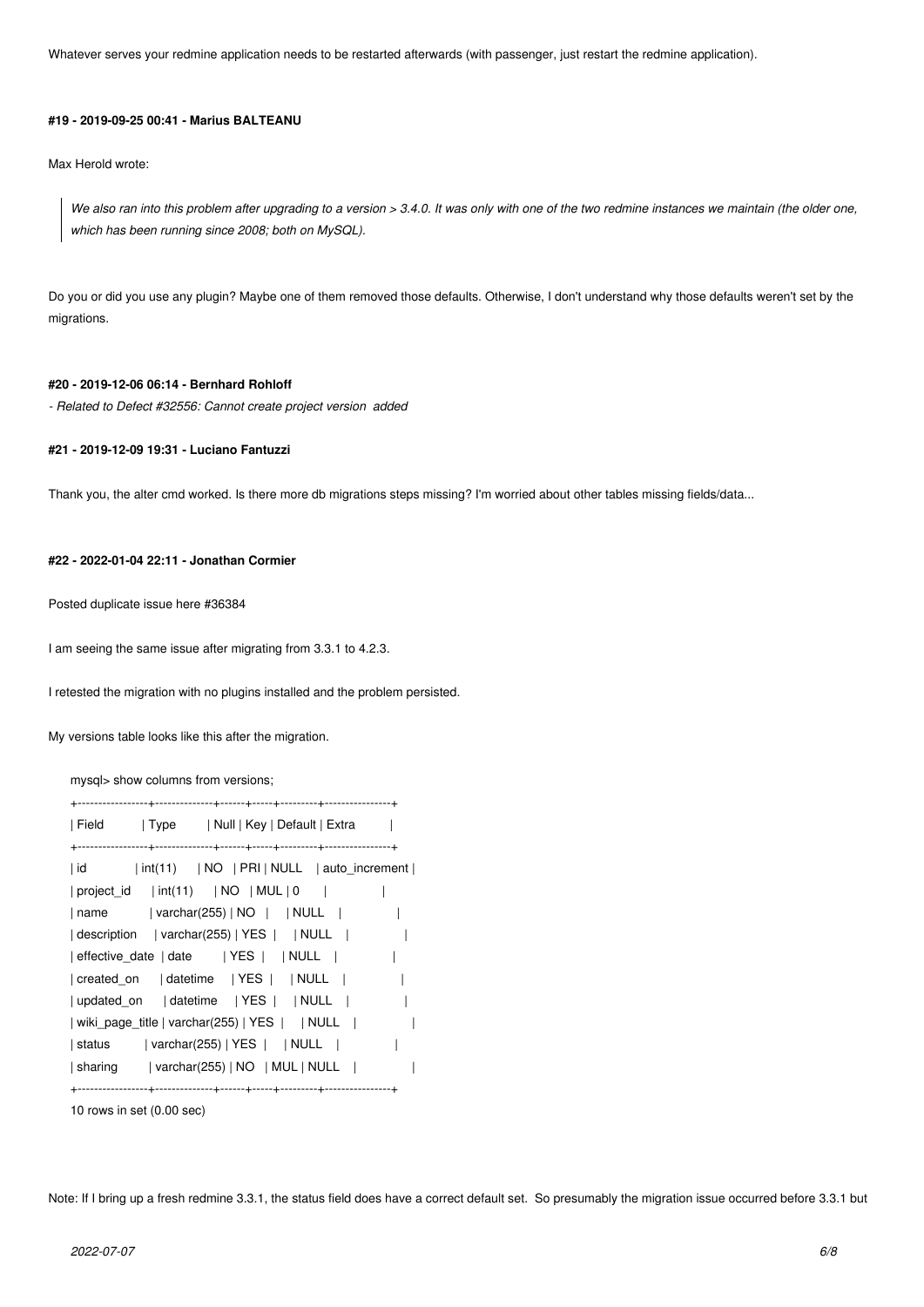Whatever serves your redmine application needs to be restarted afterwards (with passenger, just restart the redmine application).

#### **#19 - 2019-09-25 00:41 - Marius BALTEANU**

Max Herold wrote:

*We also ran into this problem after upgrading to a version > 3.4.0. It was only with one of the two redmine instances we maintain (the older one, which has been running since 2008; both on MySQL).*

Do you or did you use any plugin? Maybe one of them removed those defaults. Otherwise, I don't understand why those defaults weren't set by the migrations.

# **#20 - 2019-12-06 06:14 - Bernhard Rohloff**

*- Related to Defect #32556: Cannot create project version added*

### **#21 - 2019-12-09 19:31 - Luciano Fantuzzi**

Thank you, the alter cmd worked. Is there more db migrations steps missing? I'm worried about other tables missing fields/data...

# **#22 - 2022-01-04 22:11 - Jonathan Cormier**

Posted duplicate issue here #36384

I am seeing the same issue after migrating from 3.3.1 to 4.2.3.

I retested the migration with no plugins installed and the problem persisted.

My versions table looks like this after the migration.

mysql> show columns from versions;

| Field             Type           Null   Key   Default   Extra                |
|------------------------------------------------------------------------------|
|                                                                              |
| $\int$ int(11) $\int$ NO $\int$ PRI $\int$ NULL $\int$ auto increment<br> id |
| project id   int(11)   NO   MUL   0                                          |
| varchar(255)   NO     NULL  <br>  name                                       |
| description   varchar(255)   YES     NULL                                    |
| effective date   date   YES     NULL                                         |
|                                                                              |
| updated on   datetime   YES     NULL                                         |
| wiki_page_title   varchar(255)   YES     NULL                                |
| status   varchar(255)   YES     NULL                                         |
| $\vert$ sharing $\vert$ varchar(255)   NO $\vert$ MUL   NULL                 |
|                                                                              |

10 rows in set (0.00 sec)

Note: If I bring up a fresh redmine 3.3.1, the status field does have a correct default set. So presumably the migration issue occurred before 3.3.1 but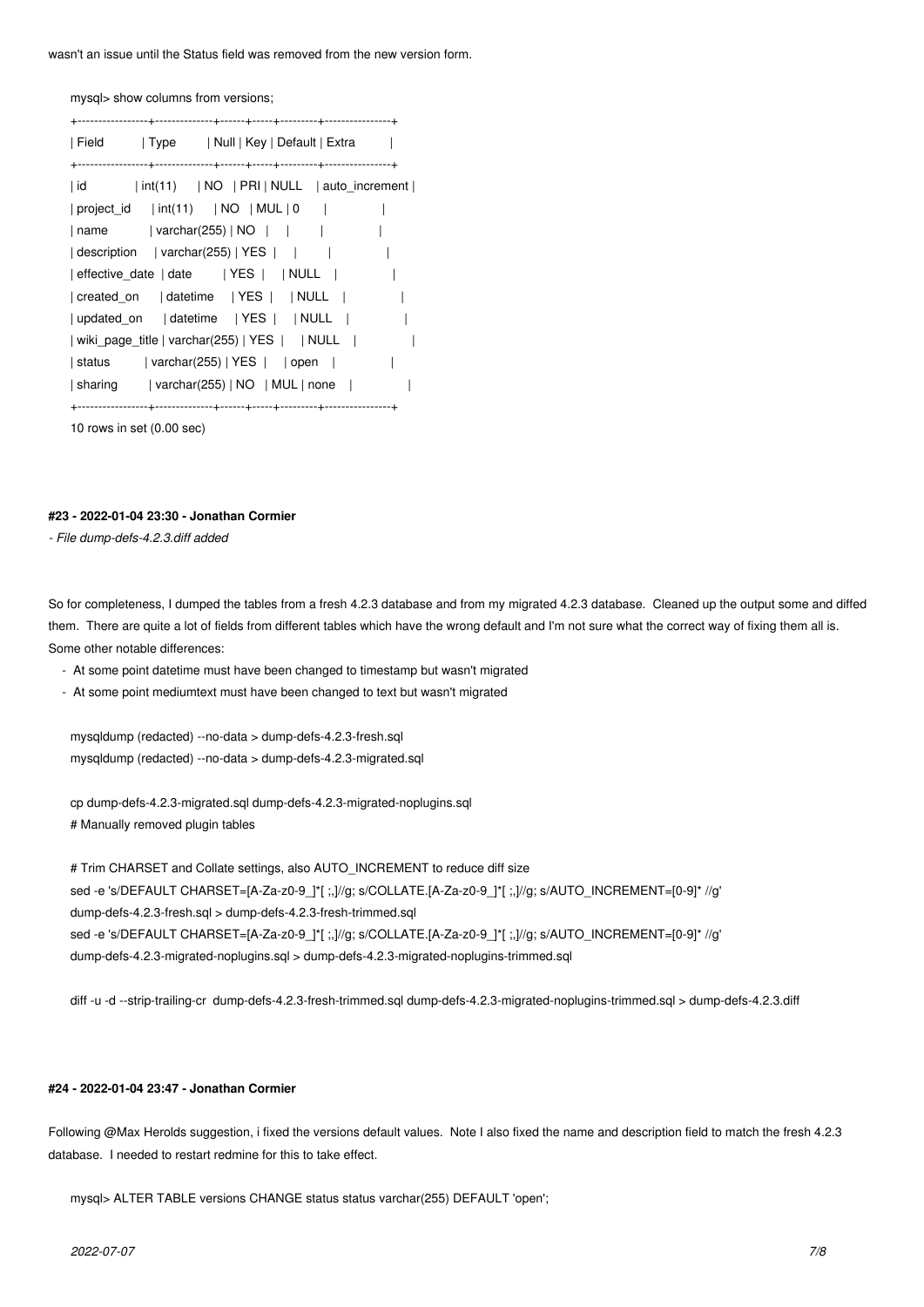wasn't an issue until the Status field was removed from the new version form.

mysql> show columns from versions;

| Field   Type                      | Null   Key   Default   Extra                                                  |  |
|-----------------------------------|-------------------------------------------------------------------------------|--|
|                                   |                                                                               |  |
| id                                | $\int$ int(11) $\int$ INO $\int$ PRI $\int$ NULL $\int$ auto increment $\int$ |  |
| $ project_id  int(11)  NO  MUL 0$ |                                                                               |  |
| name                              | varchar(255)   NO                                                             |  |
| description   varchar(255)   YES  |                                                                               |  |
|                                   | effective_date   date   YES     NULL                                          |  |
|                                   |                                                                               |  |
|                                   |                                                                               |  |
|                                   | wiki_page_title   varchar(255)   YES     NULL                                 |  |
|                                   | $ $ status $ $ varchar(255)   YES   $ $ open                                  |  |
|                                   | $\vert$ sharing $\vert$ varchar(255)   NO $\vert$ MUL $\vert$ none $\vert$    |  |
|                                   |                                                                               |  |

10 rows in set (0.00 sec)

### **#23 - 2022-01-04 23:30 - Jonathan Cormier**

*- File dump-defs-4.2.3.diff added*

So for completeness, I dumped the tables from a fresh 4.2.3 database and from my migrated 4.2.3 database. Cleaned up the output some and diffed them. There are quite a lot of fields from different tables which have the wrong default and I'm not sure what the correct way of fixing them all is. Some other notable differences:

- At some point datetime must have been changed to timestamp but wasn't migrated

- At some point mediumtext must have been changed to text but wasn't migrated

mysqldump (redacted) --no-data > dump-defs-4.2.3-fresh.sql mysqldump (redacted) --no-data > dump-defs-4.2.3-migrated.sql

cp dump-defs-4.2.3-migrated.sql dump-defs-4.2.3-migrated-noplugins.sql # Manually removed plugin tables

# Trim CHARSET and Collate settings, also AUTO\_INCREMENT to reduce diff size sed -e 's/DEFAULT CHARSET=[A-Za-z0-9\_]\*[ ;,]//g; s/COLLATE.[A-Za-z0-9\_]\*[ ;,]//g; s/AUTO\_INCREMENT=[0-9]\* //g' dump-defs-4.2.3-fresh.sql > dump-defs-4.2.3-fresh-trimmed.sql sed -e 's/DEFAULT CHARSET=[A-Za-z0-9\_]\*[ ;,]//g; s/COLLATE.[A-Za-z0-9\_]\*[ ;,]//g; s/AUTO\_INCREMENT=[0-9]\* //g' dump-defs-4.2.3-migrated-noplugins.sql > dump-defs-4.2.3-migrated-noplugins-trimmed.sql

diff -u -d --strip-trailing-cr dump-defs-4.2.3-fresh-trimmed.sql dump-defs-4.2.3-migrated-noplugins-trimmed.sql > dump-defs-4.2.3.diff

#### **#24 - 2022-01-04 23:47 - Jonathan Cormier**

Following @Max Herolds suggestion, i fixed the versions default values. Note I also fixed the name and description field to match the fresh 4.2.3 database. I needed to restart redmine for this to take effect.

mysql> ALTER TABLE versions CHANGE status status varchar(255) DEFAULT 'open';